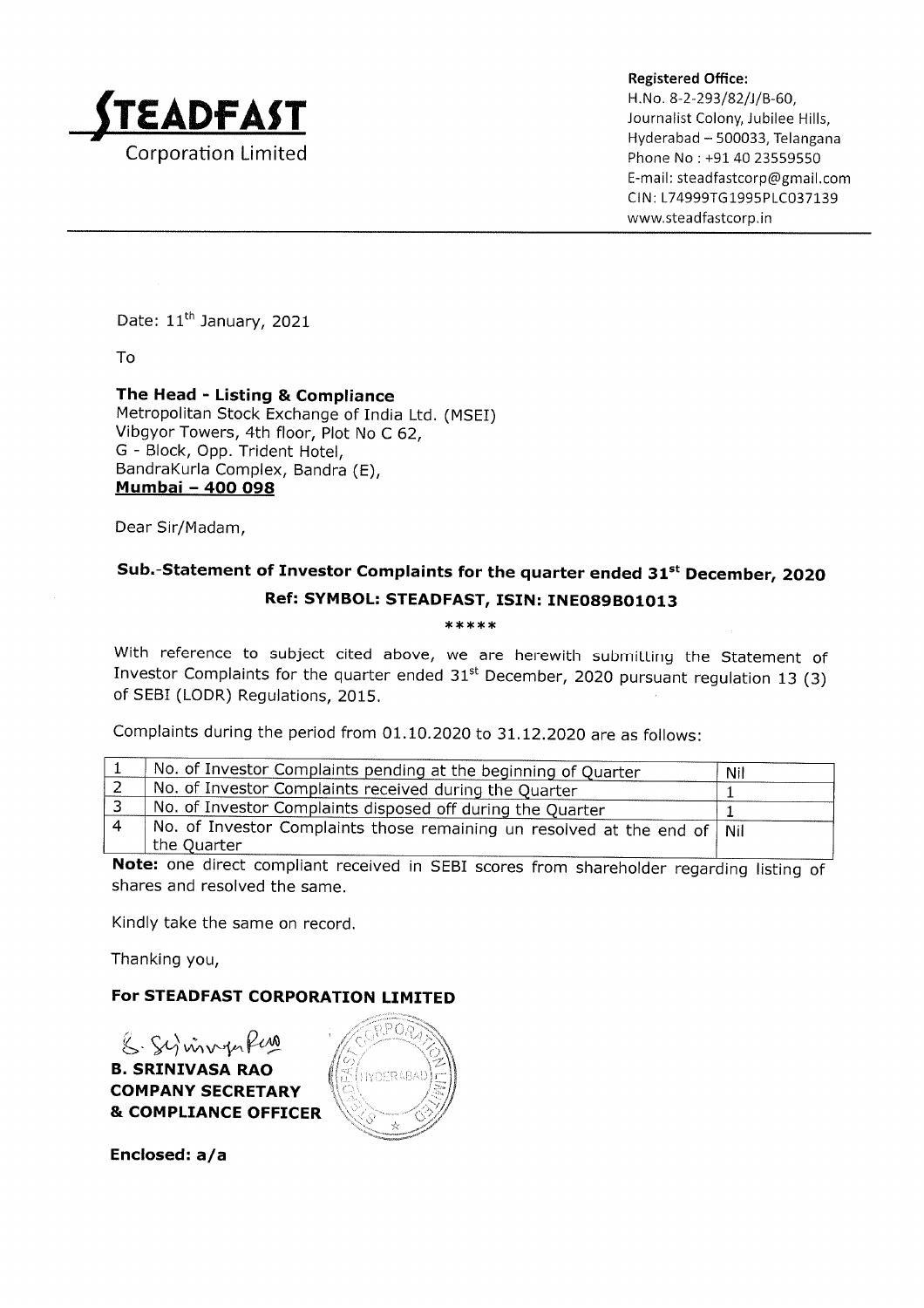

Hyderabad - 500033, Telangana Phone No: +91 40 23559550 E-ma il : steadfastcorp@gmail.com CIN: L74999TG1995PLC037139 www.steadfastcorp.in

Date: 11<sup>th</sup> January, 2021

To

The Head - Listing & Compliance Metropolitan Stock Exchange of India Ltd. (MSEI) Vibgyor Towers, 4th floor, Plot No C 62, G - Block, Opp. Trident Hotel, BandraKurla Complex, Bandra (E), Mumbai - 4OO O98

Dear Sir/Madam,

## Sub.-Statement of Investor Complaints for the quarter ended 31<sup>st</sup> December, 2020 Ref: SYMBOL: STEADFAST, ISIN: INEO89BO1O13

## \*\*\*\*\*

With reference to subject cited above, we are herewith submitting the Statement of Investor Complaints for the quarter ended  $31<sup>st</sup>$  December, 2020 pursuant regulation 13 (3) of SEBI (LODR) Regulations, 2015.

Complaints during the period from  $01.10.2020$  to  $31.12.2020$  are as follows:

|                                                                                                                                                                                                                                                                                                                   | No. of Investor Complaints pending at the beginning of Quarter                            | Nil |  |  |  |
|-------------------------------------------------------------------------------------------------------------------------------------------------------------------------------------------------------------------------------------------------------------------------------------------------------------------|-------------------------------------------------------------------------------------------|-----|--|--|--|
|                                                                                                                                                                                                                                                                                                                   | No. of Investor Complaints received during the Quarter                                    |     |  |  |  |
|                                                                                                                                                                                                                                                                                                                   | No. of Investor Complaints disposed off during the Quarter                                |     |  |  |  |
|                                                                                                                                                                                                                                                                                                                   | No. of Investor Complaints those remaining un resolved at the end of   Nil<br>the Quarter |     |  |  |  |
| the state of the state of the state of the state of the state of the state of the state of the state of the state of the state of the state of the state of the state of the state of the state of the state of the state of t<br>the contract of the contract of the contract of the contract of the contract of |                                                                                           |     |  |  |  |

Note: one direct compliant received in SEBI scores from shareholder regarding listing of shares and resolved the same.

Kindly take the same on record.

Thanking you,

## For STEADFAST CORPORATION LIMITED

 $g \mathcal{G}$  invertered B. SRINIVASA RAO COMPANY SECRETARY & COMPLIANCE OFFICER



Enclosed: a/a